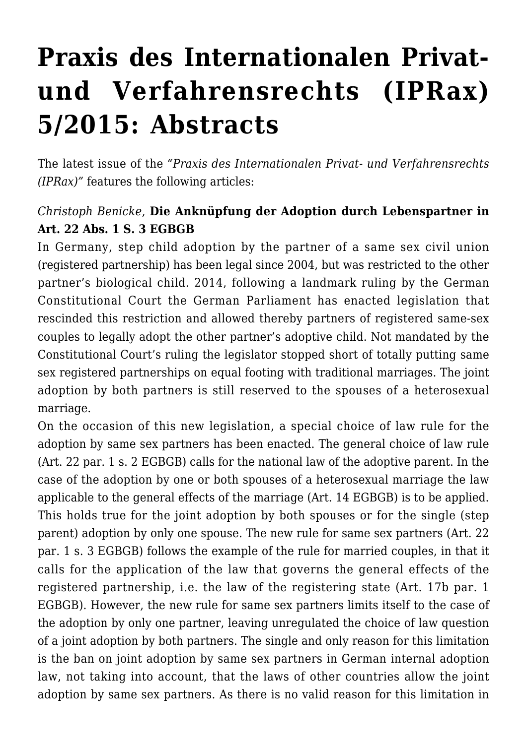# **[Praxis des Internationalen Privat](https://conflictoflaws.net/2015/praxis-des-internationalen-privat-und-verfahrensrechts-iprax-52015-abstracts/)[und Verfahrensrechts \(IPRax\)](https://conflictoflaws.net/2015/praxis-des-internationalen-privat-und-verfahrensrechts-iprax-52015-abstracts/) [5/2015: Abstracts](https://conflictoflaws.net/2015/praxis-des-internationalen-privat-und-verfahrensrechts-iprax-52015-abstracts/)**

The latest issue of the *["Praxis des Internationalen Privat- und Verfahrensrechts](http://www.iprax.de/) [\(IPRax\)"](http://www.iprax.de/)* features the following articles:

#### *Christoph Benicke*, **Die Anknüpfung der Adoption durch Lebenspartner in Art. 22 Abs. 1 S. 3 EGBGB**

In Germany, step child adoption by the partner of a same sex civil union (registered partnership) has been legal since 2004, but was restricted to the other partner's biological child. 2014, following a landmark ruling by the German Constitutional Court the German Parliament has enacted legislation that rescinded this restriction and allowed thereby partners of registered same-sex couples to legally adopt the other partner's adoptive child. Not mandated by the Constitutional Court's ruling the legislator stopped short of totally putting same sex registered partnerships on equal footing with traditional marriages. The joint adoption by both partners is still reserved to the spouses of a heterosexual marriage.

On the occasion of this new legislation, a special choice of law rule for the adoption by same sex partners has been enacted. The general choice of law rule (Art. 22 par. 1 s. 2 EGBGB) calls for the national law of the adoptive parent. In the case of the adoption by one or both spouses of a heterosexual marriage the law applicable to the general effects of the marriage (Art. 14 EGBGB) is to be applied. This holds true for the joint adoption by both spouses or for the single (step parent) adoption by only one spouse. The new rule for same sex partners (Art. 22 par. 1 s. 3 EGBGB) follows the example of the rule for married couples, in that it calls for the application of the law that governs the general effects of the registered partnership, i.e. the law of the registering state (Art. 17b par. 1 EGBGB). However, the new rule for same sex partners limits itself to the case of the adoption by only one partner, leaving unregulated the choice of law question of a joint adoption by both partners. The single and only reason for this limitation is the ban on joint adoption by same sex partners in German internal adoption law, not taking into account, that the laws of other countries allow the joint adoption by same sex partners. As there is no valid reason for this limitation in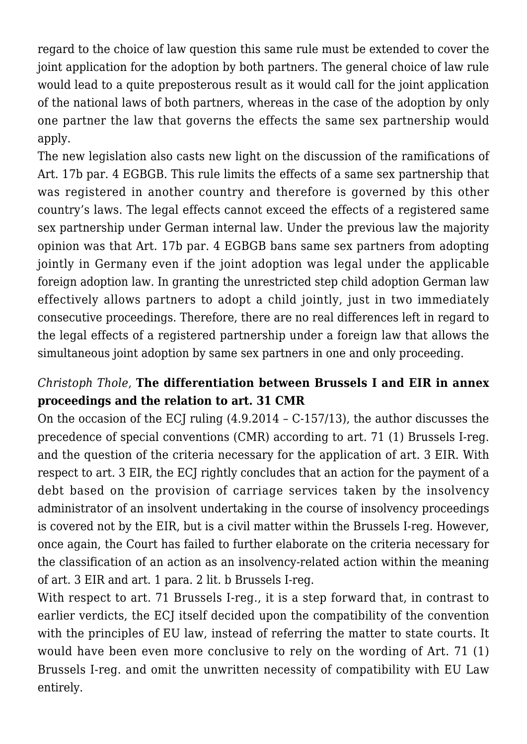regard to the choice of law question this same rule must be extended to cover the joint application for the adoption by both partners. The general choice of law rule would lead to a quite preposterous result as it would call for the joint application of the national laws of both partners, whereas in the case of the adoption by only one partner the law that governs the effects the same sex partnership would apply.

The new legislation also casts new light on the discussion of the ramifications of Art. 17b par. 4 EGBGB. This rule limits the effects of a same sex partnership that was registered in another country and therefore is governed by this other country's laws. The legal effects cannot exceed the effects of a registered same sex partnership under German internal law. Under the previous law the majority opinion was that Art. 17b par. 4 EGBGB bans same sex partners from adopting jointly in Germany even if the joint adoption was legal under the applicable foreign adoption law. In granting the unrestricted step child adoption German law effectively allows partners to adopt a child jointly, just in two immediately consecutive proceedings. Therefore, there are no real differences left in regard to the legal effects of a registered partnership under a foreign law that allows the simultaneous joint adoption by same sex partners in one and only proceeding.

# *Christoph Thole*, **The differentiation between Brussels I and EIR in annex proceedings and the relation to art. 31 CMR**

On the occasion of the ECJ ruling (4.9.2014 – C-157/13), the author discusses the precedence of special conventions (CMR) according to art. 71 (1) Brussels I-reg. and the question of the criteria necessary for the application of art. 3 EIR. With respect to art. 3 EIR, the ECJ rightly concludes that an action for the payment of a debt based on the provision of carriage services taken by the insolvency administrator of an insolvent undertaking in the course of insolvency proceedings is covered not by the EIR, but is a civil matter within the Brussels I-reg. However, once again, the Court has failed to further elaborate on the criteria necessary for the classification of an action as an insolvency-related action within the meaning of art. 3 EIR and art. 1 para. 2 lit. b Brussels I-reg.

With respect to art. 71 Brussels I-reg., it is a step forward that, in contrast to earlier verdicts, the ECJ itself decided upon the compatibility of the convention with the principles of EU law, instead of referring the matter to state courts. It would have been even more conclusive to rely on the wording of Art. 71 (1) Brussels I-reg. and omit the unwritten necessity of compatibility with EU Law entirely.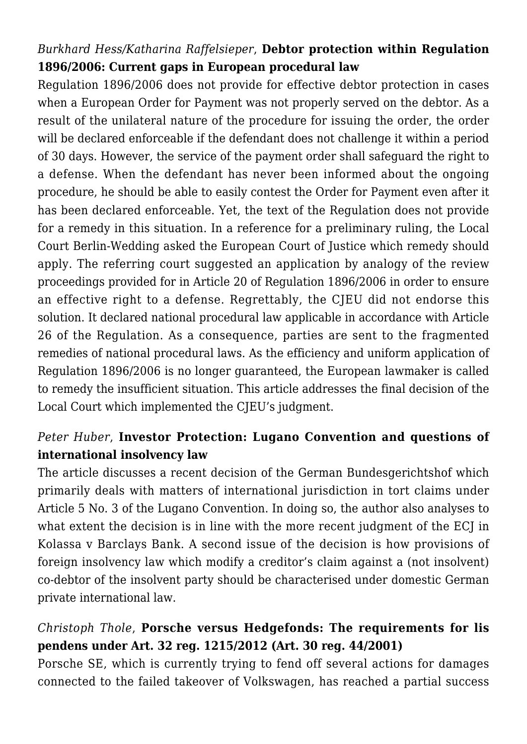# *Burkhard Hess/Katharina Raffelsieper*, **Debtor protection within Regulation 1896/2006: Current gaps in European procedural law**

Regulation 1896/2006 does not provide for effective debtor protection in cases when a European Order for Payment was not properly served on the debtor. As a result of the unilateral nature of the procedure for issuing the order, the order will be declared enforceable if the defendant does not challenge it within a period of 30 days. However, the service of the payment order shall safeguard the right to a defense. When the defendant has never been informed about the ongoing procedure, he should be able to easily contest the Order for Payment even after it has been declared enforceable. Yet, the text of the Regulation does not provide for a remedy in this situation. In a reference for a preliminary ruling, the Local Court Berlin-Wedding asked the European Court of Justice which remedy should apply. The referring court suggested an application by analogy of the review proceedings provided for in Article 20 of Regulation 1896/2006 in order to ensure an effective right to a defense. Regrettably, the CJEU did not endorse this solution. It declared national procedural law applicable in accordance with Article 26 of the Regulation. As a consequence, parties are sent to the fragmented remedies of national procedural laws. As the efficiency and uniform application of Regulation 1896/2006 is no longer guaranteed, the European lawmaker is called to remedy the insufficient situation. This article addresses the final decision of the Local Court which implemented the CJEU's judgment.

#### *Peter Huber*, **Investor Protection: Lugano Convention and questions of international insolvency law**

The article discusses a recent decision of the German Bundesgerichtshof which primarily deals with matters of international jurisdiction in tort claims under Article 5 No. 3 of the Lugano Convention. In doing so, the author also analyses to what extent the decision is in line with the more recent judgment of the ECJ in Kolassa v Barclays Bank. A second issue of the decision is how provisions of foreign insolvency law which modify a creditor's claim against a (not insolvent) co-debtor of the insolvent party should be characterised under domestic German private international law.

# *Christoph Thole*, **Porsche versus Hedgefonds: The requirements for lis pendens under Art. 32 reg. 1215/2012 (Art. 30 reg. 44/2001)**

Porsche SE, which is currently trying to fend off several actions for damages connected to the failed takeover of Volkswagen, has reached a partial success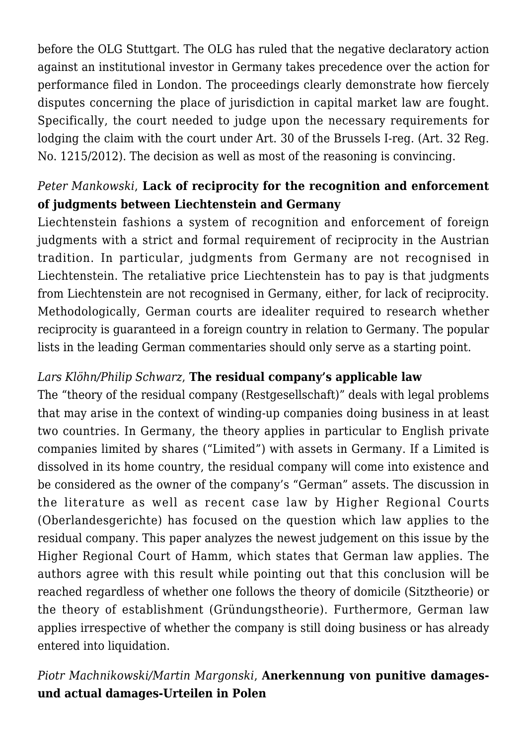before the OLG Stuttgart. The OLG has ruled that the negative declaratory action against an institutional investor in Germany takes precedence over the action for performance filed in London. The proceedings clearly demonstrate how fiercely disputes concerning the place of jurisdiction in capital market law are fought. Specifically, the court needed to judge upon the necessary requirements for lodging the claim with the court under Art. 30 of the Brussels I-reg. (Art. 32 Reg. No. 1215/2012). The decision as well as most of the reasoning is convincing.

# *Peter Mankowski*, **Lack of reciprocity for the recognition and enforcement of judgments between Liechtenstein and Germany**

Liechtenstein fashions a system of recognition and enforcement of foreign judgments with a strict and formal requirement of reciprocity in the Austrian tradition. In particular, judgments from Germany are not recognised in Liechtenstein. The retaliative price Liechtenstein has to pay is that judgments from Liechtenstein are not recognised in Germany, either, for lack of reciprocity. Methodologically, German courts are idealiter required to research whether reciprocity is guaranteed in a foreign country in relation to Germany. The popular lists in the leading German commentaries should only serve as a starting point.

#### *Lars Klöhn/Philip Schwarz*, **The residual company's applicable law**

The "theory of the residual company (Restgesellschaft)" deals with legal problems that may arise in the context of winding-up companies doing business in at least two countries. In Germany, the theory applies in particular to English private companies limited by shares ("Limited") with assets in Germany. If a Limited is dissolved in its home country, the residual company will come into existence and be considered as the owner of the company's "German" assets. The discussion in the literature as well as recent case law by Higher Regional Courts (Oberlandesgerichte) has focused on the question which law applies to the residual company. This paper analyzes the newest judgement on this issue by the Higher Regional Court of Hamm, which states that German law applies. The authors agree with this result while pointing out that this conclusion will be reached regardless of whether one follows the theory of domicile (Sitztheorie) or the theory of establishment (Gründungstheorie). Furthermore, German law applies irrespective of whether the company is still doing business or has already entered into liquidation.

#### *Piotr Machnikowski/Martin Margonski*, **Anerkennung von punitive damagesund actual damages-Urteilen in Polen**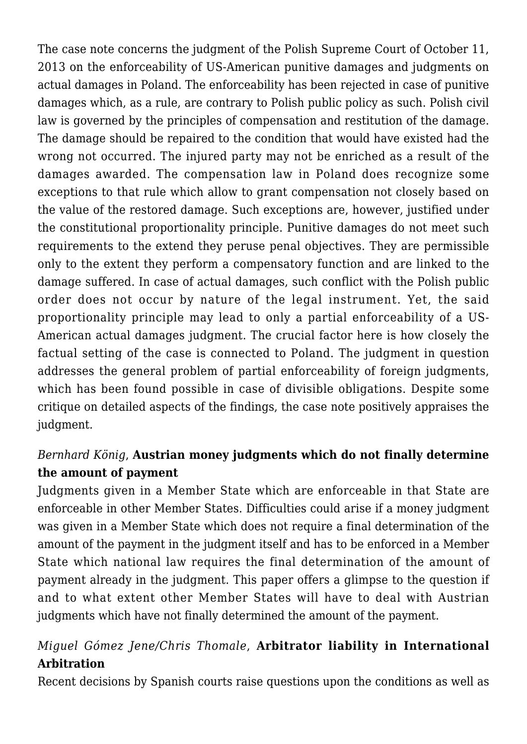The case note concerns the judgment of the Polish Supreme Court of October 11, 2013 on the enforceability of US-American punitive damages and judgments on actual damages in Poland. The enforceability has been rejected in case of punitive damages which, as a rule, are contrary to Polish public policy as such. Polish civil law is governed by the principles of compensation and restitution of the damage. The damage should be repaired to the condition that would have existed had the wrong not occurred. The injured party may not be enriched as a result of the damages awarded. The compensation law in Poland does recognize some exceptions to that rule which allow to grant compensation not closely based on the value of the restored damage. Such exceptions are, however, justified under the constitutional proportionality principle. Punitive damages do not meet such requirements to the extend they peruse penal objectives. They are permissible only to the extent they perform a compensatory function and are linked to the damage suffered. In case of actual damages, such conflict with the Polish public order does not occur by nature of the legal instrument. Yet, the said proportionality principle may lead to only a partial enforceability of a US-American actual damages judgment. The crucial factor here is how closely the factual setting of the case is connected to Poland. The judgment in question addresses the general problem of partial enforceability of foreign judgments, which has been found possible in case of divisible obligations. Despite some critique on detailed aspects of the findings, the case note positively appraises the judgment.

# *Bernhard König*, **Austrian money judgments which do not finally determine the amount of payment**

Judgments given in a Member State which are enforceable in that State are enforceable in other Member States. Difficulties could arise if a money judgment was given in a Member State which does not require a final determination of the amount of the payment in the judgment itself and has to be enforced in a Member State which national law requires the final determination of the amount of payment already in the judgment. This paper offers a glimpse to the question if and to what extent other Member States will have to deal with Austrian judgments which have not finally determined the amount of the payment.

# *Miguel Gómez Jene/Chris Thomale*, **Arbitrator liability in International Arbitration**

Recent decisions by Spanish courts raise questions upon the conditions as well as